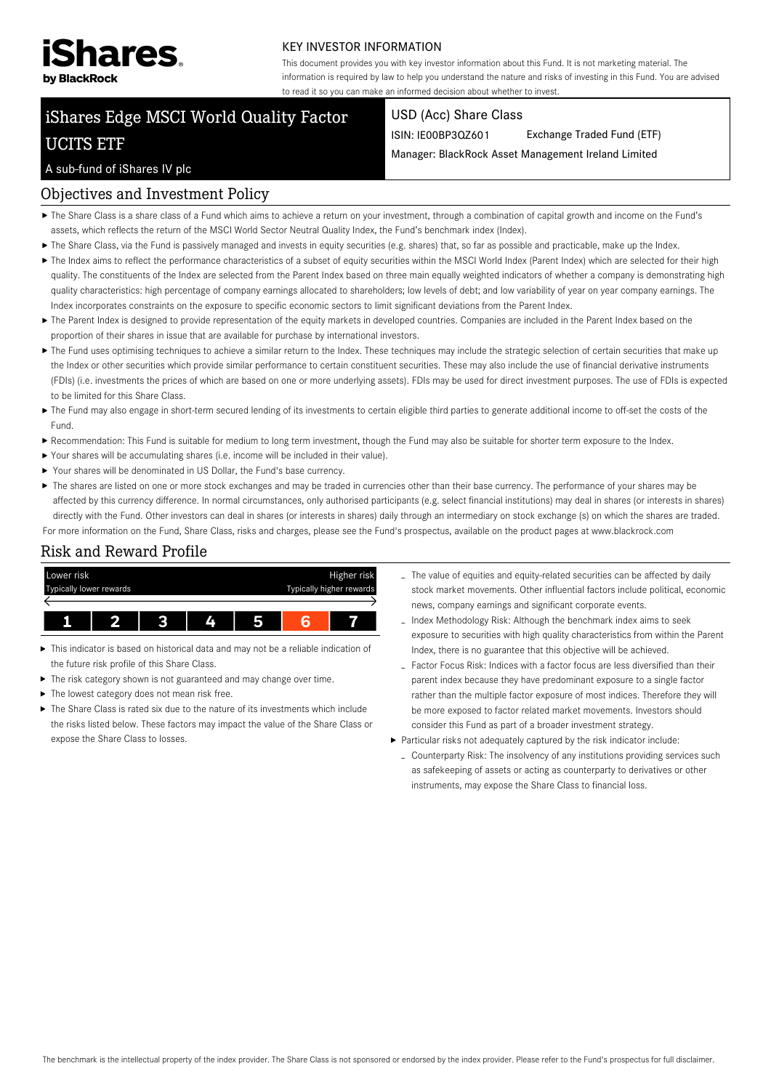

#### KEY INVESTOR INFORMATION

This document provides you with key investor information about this Fund. It is not marketing material. The information is required by law to help you understand the nature and risks of investing in this Fund. You are advised to read it so you can make an informed decision about whether to invest.

# iShares Edge MSCI World Quality Factor UCITS ETF

#### USD (Acc) Share Class

ISIN: IE00BP3QZ601 Exchange Traded Fund (ETF)

Manager: BlackRock Asset Management Ireland Limited

#### A sub-fund of iShares IV plc

#### Objectives and Investment Policy

- The Share Class is a share class of a Fund which aims to achieve a return on your investment, through a combination of capital growth and income on the Fund's assets, which reflects the return of the MSCI World Sector Neutral Quality Index, the Fund's benchmark index (Index).
- The Share Class, via the Fund is passively managed and invests in equity securities (e.g. shares) that, so far as possible and practicable, make up the Index.
- ▶ The Index aims to reflect the performance characteristics of a subset of equity securities within the MSCI World Index (Parent Index) which are selected for their high quality. The constituents of the Index are selected from the Parent Index based on three main equally weighted indicators of whether a company is demonstrating high quality characteristics: high percentage of company earnings allocated to shareholders; low levels of debt; and low variability of year on year company earnings. The Index incorporates constraints on the exposure to specific economic sectors to limit significant deviations from the Parent Index.
- ▶ The Parent Index is designed to provide representation of the equity markets in developed countries. Companies are included in the Parent Index based on the proportion of their shares in issue that are available for purchase by international investors.
- ▶ The Fund uses optimising techniques to achieve a similar return to the Index. These techniques may include the strategic selection of certain securities that make up the Index or other securities which provide similar performance to certain constituent securities. These may also include the use of financial derivative instruments (FDIs) (i.e. investments the prices of which are based on one or more underlying assets). FDIs may be used for direct investment purposes. The use of FDIs is expected to be limited for this Share Class.
- ▶ The Fund may also engage in short-term secured lending of its investments to certain eligible third parties to generate additional income to off-set the costs of the Fund.
- Recommendation: This Fund is suitable for medium to long term investment, though the Fund may also be suitable for shorter term exposure to the Index.
- Your shares will be accumulating shares (i.e. income will be included in their value).
- Your shares will be denominated in US Dollar, the Fund's base currency.
- ▶ The shares are listed on one or more stock exchanges and may be traded in currencies other than their base currency. The performance of your shares may be affected by this currency difference. In normal circumstances, only authorised participants (e.g. select financial institutions) may deal in shares (or interests in shares) directly with the Fund. Other investors can deal in shares (or interests in shares) daily through an intermediary on stock exchange (s) on which the shares are traded. For more information on the Fund, Share Class, risks and charges, please see the Fund's prospectus, available on the product pages at www.blackrock.com

## Risk and Reward Profile



- This indicator is based on historical data and may not be a reliable indication of the future risk profile of this Share Class.
- The risk category shown is not guaranteed and may change over time.
- The lowest category does not mean risk free.
- ▶ The Share Class is rated six due to the nature of its investments which include the risks listed below. These factors may impact the value of the Share Class or expose the Share Class to losses.
- The value of equities and equity-related securities can be affected by daily stock market movements. Other influential factors include political, economic news, company earnings and significant corporate events.
- Index Methodology Risk: Although the benchmark index aims to seek exposure to securities with high quality characteristics from within the Parent Index, there is no guarantee that this objective will be achieved.
- Factor Focus Risk: Indices with a factor focus are less diversified than their parent index because they have predominant exposure to a single factor rather than the multiple factor exposure of most indices. Therefore they will be more exposed to factor related market movements. Investors should consider this Fund as part of a broader investment strategy.
- Particular risks not adequately captured by the risk indicator include:
	- Counterparty Risk: The insolvency of any institutions providing services such as safekeeping of assets or acting as counterparty to derivatives or other instruments, may expose the Share Class to financial loss.